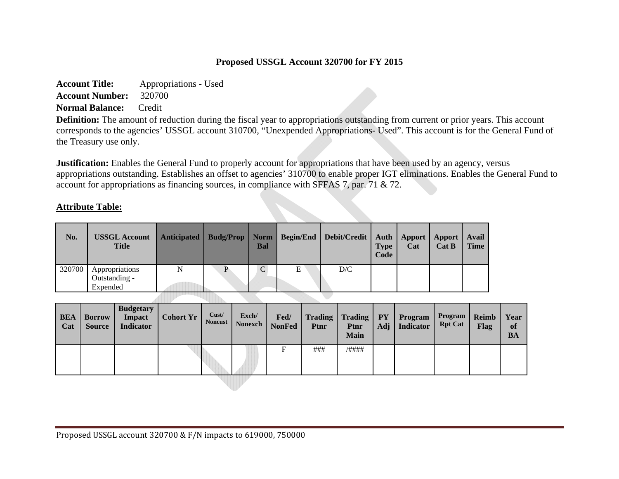## **Proposed USSGL Account 320700 for FY 2015**

**Account Title:** Appropriations - Used **Account Number:** 320700 **Normal Balance:** Credit

**Definition:** The amount of reduction during the fiscal year to appropriations outstanding from current or prior years. This account corresponds to the agencies' USSGL account 310700, "Unexpended Appropriations- Used". This account is for the General Fund of the Treasury use only.

**Justification:** Enables the General Fund to properly account for appropriations that have been used by an agency, versus appropriations outstanding. Establishes an offset to agencies' 310700 to enable proper IGT eliminations. Enables the General Fund to account for appropriations as financing sources, in compliance with SFFAS 7, par. 71 & 72.

## **Attribute Table:**

| No.    | <b>USSGL Account</b><br><b>Title</b>        |   | Bal           |   | Anticipated   Budg/Prop   Norm   Begin/End   Debit/Credit | <b>Type</b><br>Code | <b>Auth</b> Apport<br>Cat | Apport<br>Cat B | Avail<br><b>Time</b> |
|--------|---------------------------------------------|---|---------------|---|-----------------------------------------------------------|---------------------|---------------------------|-----------------|----------------------|
| 320700 | Appropriations<br>Outstanding -<br>Expended | N | $\mathcal{C}$ | Ε | D/C                                                       |                     |                           |                 |                      |

| <b>BEA</b><br>Cat | <b>Borrow</b><br><b>Source</b> | <b>Budgetary</b><br><b>Impact</b><br><b>Indicator</b> | <b>Cohort Yr</b> | Cust/<br><b>Noncust</b> | Exch/<br>Nonexch | Fed/<br><b>NonFed</b> | <b>Trading</b><br>Ptnr | Trading<br>Ptnr<br><b>Main</b> | PY <sub>1</sub><br>Adj $\vert$ | Program<br>Indicator | Program<br><b>Rpt Cat</b> | Reimb<br>Flag | Year<br>of<br><b>BA</b> |
|-------------------|--------------------------------|-------------------------------------------------------|------------------|-------------------------|------------------|-----------------------|------------------------|--------------------------------|--------------------------------|----------------------|---------------------------|---------------|-------------------------|
|                   |                                |                                                       |                  |                         |                  | F                     | ###                    | /####                          |                                |                      |                           |               |                         |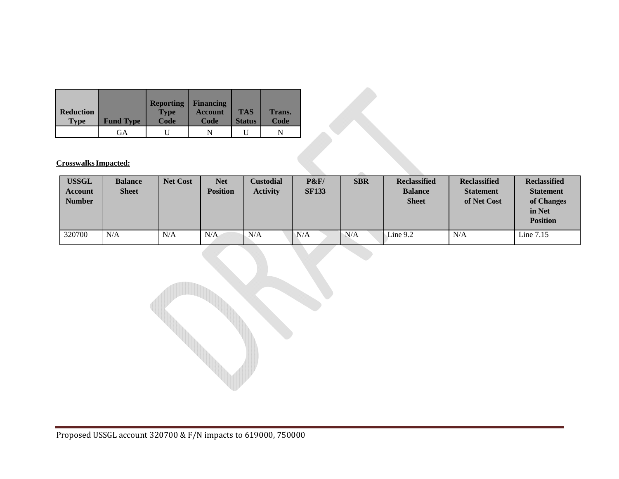| <b>Reduction</b><br><b>Type</b> | <b>Fund Type</b> | <b>Reporting</b><br><b>Type</b><br>Code | <b>Financing</b><br><b>Account</b><br>Code | <b>TAS</b><br><b>Status</b> | Trans.<br>Code |
|---------------------------------|------------------|-----------------------------------------|--------------------------------------------|-----------------------------|----------------|
|                                 | GА               |                                         |                                            |                             |                |

**Crosswalks Impacted:** 

| <b>USSGL</b><br>Account<br><b>Number</b> | <b>Balance</b><br><b>Sheet</b> | <b>Net Cost</b> | <b>Net</b><br><b>Position</b> | Custodial<br><b>Activity</b> | P&F<br><b>SF133</b> | <b>SBR</b> | <b>Reclassified</b><br><b>Balance</b><br><b>Sheet</b> | <b>Reclassified</b><br><b>Statement</b><br>of Net Cost | <b>Reclassified</b><br><b>Statement</b><br>of Changes<br>in Net<br><b>Position</b> |
|------------------------------------------|--------------------------------|-----------------|-------------------------------|------------------------------|---------------------|------------|-------------------------------------------------------|--------------------------------------------------------|------------------------------------------------------------------------------------|
| 320700                                   | N/A                            | N/A             | N/A                           | N/A                          | N/A                 | N/A        | Line 9.2                                              | N/A                                                    | Line $7.15$                                                                        |